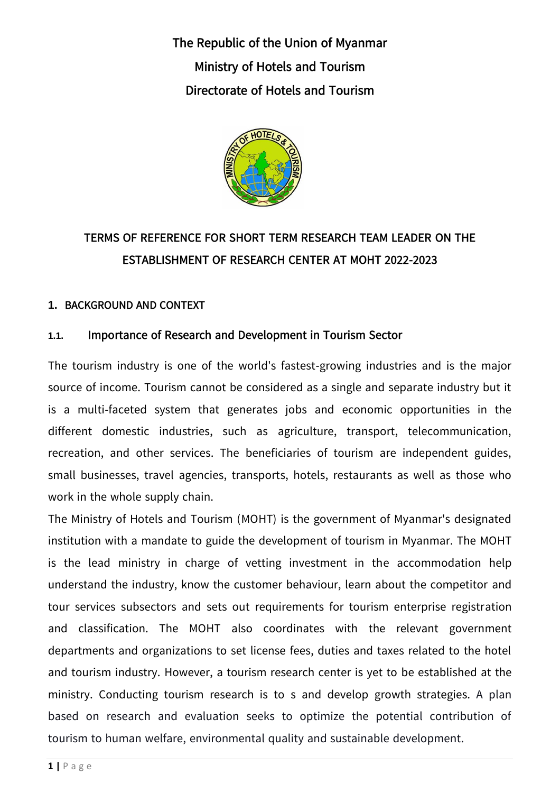**The Republic of the Union of Myanmar Ministry of Hotels and Tourism Directorate of Hotels and Tourism**



# **TERMS OF REFERENCE FOR SHORT TERM RESEARCH TEAM LEADER ON THE ESTABLISHMENT OF RESEARCH CENTER AT MOHT 2022-2023**

## **1. BACKGROUND AND CONTEXT**

# **1.1. Importance of Research and Development in Tourism Sector**

The tourism industry is one of the world's fastest-growing industries and is the major source of income. Tourism cannot be considered as a single and separate industry but it is a multi-faceted system that generates jobs and economic opportunities in the different domestic industries, such as agriculture, transport, telecommunication, recreation, and other services. The beneficiaries of tourism are independent guides, small businesses, travel agencies, transports, hotels, restaurants as well as those who work in the whole supply chain.

The Ministry of Hotels and Tourism (MOHT) is the government of Myanmar's designated institution with a mandate to guide the development of tourism in Myanmar. The MOHT is the lead ministry in charge of vetting investment in the accommodation help understand the industry, know the customer behaviour, learn about the competitor and tour services subsectors and sets out requirements for tourism enterprise registration and classification. The MOHT also coordinates with the relevant government departments and organizations to set license fees, duties and taxes related to the hotel and tourism industry. However, a tourism research center is yet to be established at the ministry. Conducting tourism research is to s and develop growth strategies. A plan based on research and evaluation seeks to optimize the potential contribution of tourism to human welfare, environmental quality and sustainable development.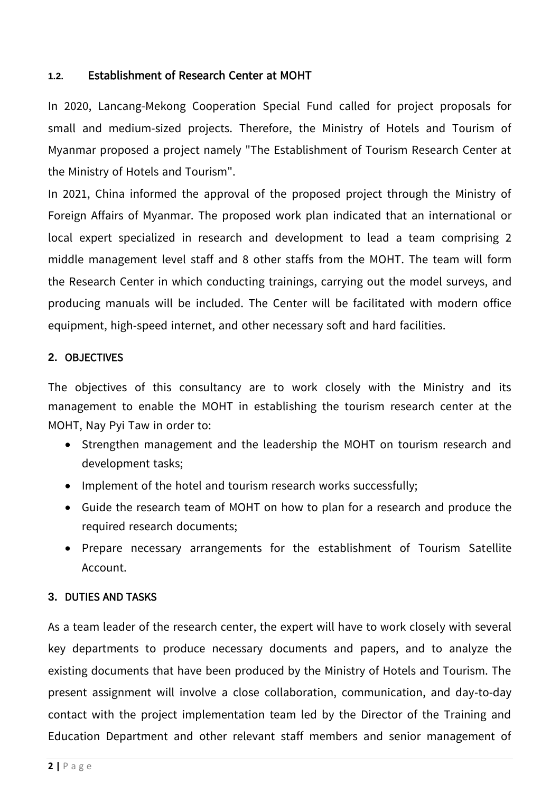# **1.2. Establishment of Research Center at MOHT**

In 2020, Lancang-Mekong Cooperation Special Fund called for project proposals for small and medium-sized projects. Therefore, the Ministry of Hotels and Tourism of Myanmar proposed a project namely "The Establishment of Tourism Research Center at the Ministry of Hotels and Tourism".

In 2021, China informed the approval of the proposed project through the Ministry of Foreign Affairs of Myanmar. The proposed work plan indicated that an international or local expert specialized in research and development to lead a team comprising 2 middle management level staff and 8 other staffs from the MOHT. The team will form the Research Center in which conducting trainings, carrying out the model surveys, and producing manuals will be included. The Center will be facilitated with modern office equipment, high-speed internet, and other necessary soft and hard facilities.

#### **2. OBJECTIVES**

The objectives of this consultancy are to work closely with the Ministry and its management to enable the MOHT in establishing the tourism research center at the MOHT, Nay Pyi Taw in order to:

- Strengthen management and the leadership the MOHT on tourism research and development tasks;
- Implement of the hotel and tourism research works successfully;
- Guide the research team of MOHT on how to plan for a research and produce the required research documents;
- Prepare necessary arrangements for the establishment of Tourism Satellite Account.

## **3. DUTIES AND TASKS**

As a team leader of the research center, the expert will have to work closely with several key departments to produce necessary documents and papers, and to analyze the existing documents that have been produced by the Ministry of Hotels and Tourism. The present assignment will involve a close collaboration, communication, and day-to-day contact with the project implementation team led by the Director of the Training and Education Department and other relevant staff members and senior management of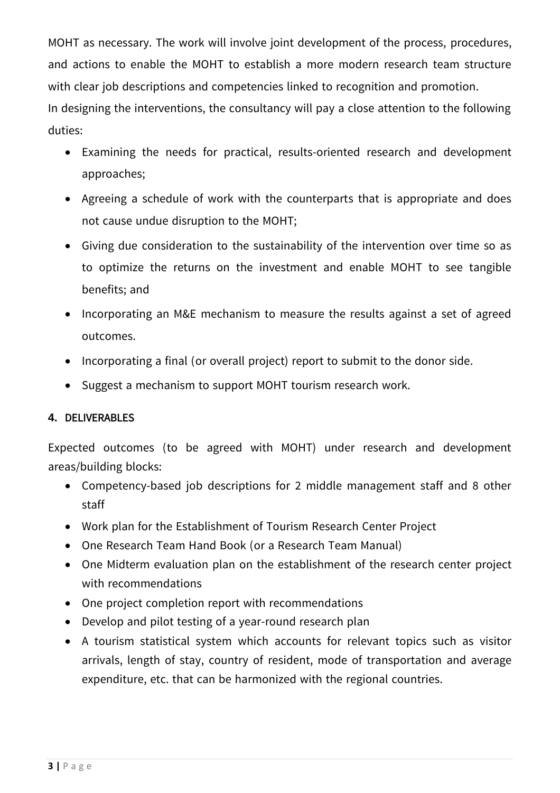MOHT as necessary. The work will involve joint development of the process, procedures, and actions to enable the MOHT to establish a more modern research team structure with clear job descriptions and competencies linked to recognition and promotion. In designing the interventions, the consultancy will pay a close attention to the following duties:

- Examining the needs for practical, results-oriented research and development approaches;
- Agreeing a schedule of work with the counterparts that is appropriate and does not cause undue disruption to the MOHT;
- Giving due consideration to the sustainability of the intervention over time so as to optimize the returns on the investment and enable MOHT to see tangible benefits; and
- Incorporating an M&E mechanism to measure the results against a set of agreed outcomes.
- Incorporating a final (or overall project) report to submit to the donor side.
- Suggest a mechanism to support MOHT tourism research work.

# **4. DELIVERABLES**

Expected outcomes (to be agreed with MOHT) under research and development areas/building blocks:

- Competency-based job descriptions for 2 middle management staff and 8 other staff
- Work plan for the Establishment of Tourism Research Center Project
- One Research Team Hand Book (or a Research Team Manual)
- One Midterm evaluation plan on the establishment of the research center project with recommendations
- One project completion report with recommendations
- Develop and pilot testing of a year-round research plan
- A tourism statistical system which accounts for relevant topics such as visitor arrivals, length of stay, country of resident, mode of transportation and average expenditure, etc. that can be harmonized with the regional countries.